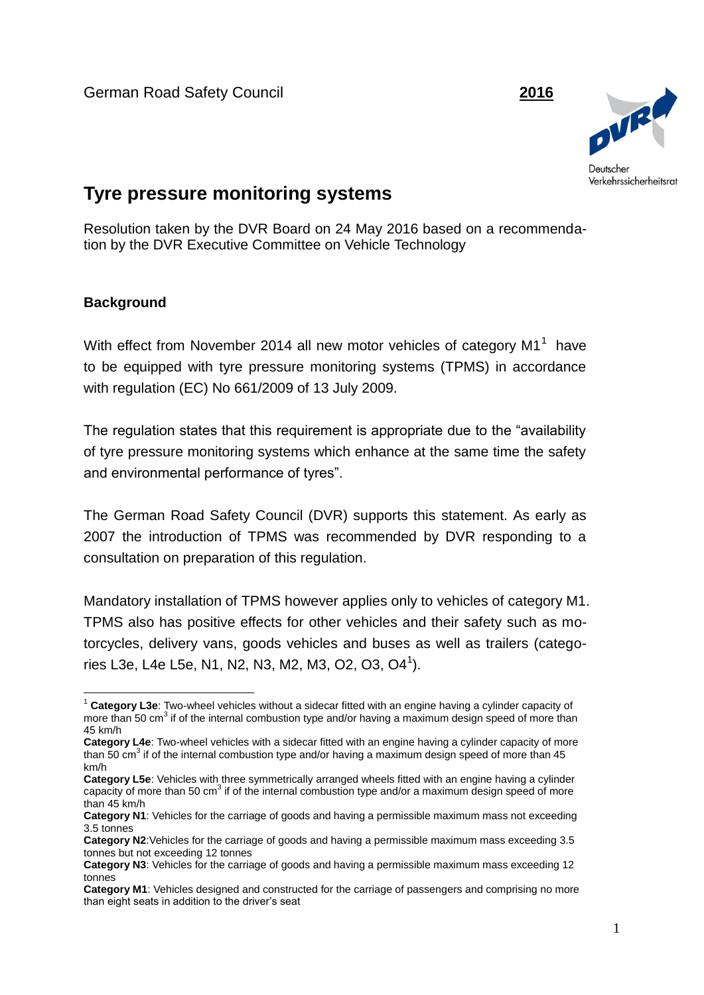German Road Safety Council **2016**



# **Tyre pressure monitoring systems**

Resolution taken by the DVR Board on 24 May 2016 based on a recommendation by the DVR Executive Committee on Vehicle Technology

#### **Background**

1

With effect from November 2014 all new motor vehicles of category M1<sup>1</sup> have to be equipped with tyre pressure monitoring systems (TPMS) in accordance with regulation (EC) No 661/2009 of 13 July 2009.

The regulation states that this requirement is appropriate due to the "availability of tyre pressure monitoring systems which enhance at the same time the safety and environmental performance of tyres".

The German Road Safety Council (DVR) supports this statement. As early as 2007 the introduction of TPMS was recommended by DVR responding to a consultation on preparation of this regulation.

Mandatory installation of TPMS however applies only to vehicles of category M1. TPMS also has positive effects for other vehicles and their safety such as motorcycles, delivery vans, goods vehicles and buses as well as trailers (categories L3e, L4e L5e, N1, N2, N3, M2, M3, O2, O3, O4<sup>1</sup>).

<sup>1</sup> **Category L3e**: Two-wheel vehicles without a sidecar fitted with an engine having a cylinder capacity of more than 50 cm<sup>3</sup> if of the internal combustion type and/or having a maximum design speed of more than 45 km/h

**Category L4e**: Two-wheel vehicles with a sidecar fitted with an engine having a cylinder capacity of more than 50 cm<sup>3</sup> if of the internal combustion type and/or having a maximum design speed of more than 45 km/h

**Category L5e**: Vehicles with three symmetrically arranged wheels fitted with an engine having a cylinder capacity of more than 50 cm<sup>3</sup> if of the internal combustion type and/or a maximum design speed of more than 45 km/h

**Category N1**: Vehicles for the carriage of goods and having a permissible maximum mass not exceeding 3.5 tonnes

**Category N2**:Vehicles for the carriage of goods and having a permissible maximum mass exceeding 3.5 tonnes but not exceeding 12 tonnes

**Category N3**: Vehicles for the carriage of goods and having a permissible maximum mass exceeding 12 tonnes

**Category M1**: Vehicles designed and constructed for the carriage of passengers and comprising no more than eight seats in addition to the driver's seat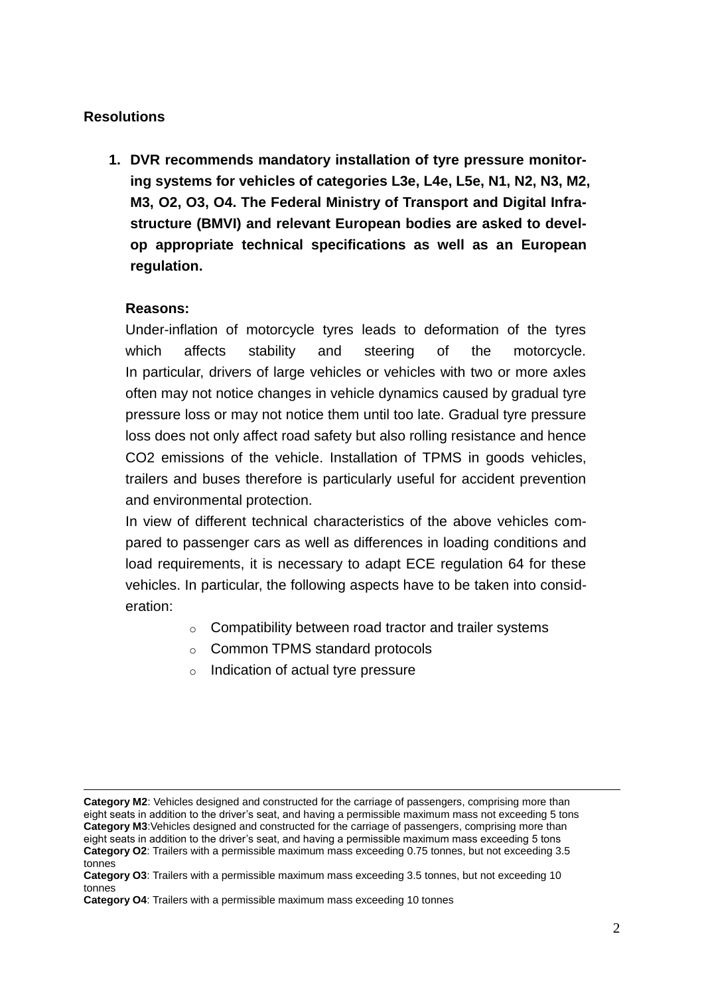## **Resolutions**

**1. DVR recommends mandatory installation of tyre pressure monitoring systems for vehicles of categories L3e, L4e, L5e, N1, N2, N3, M2, M3, O2, O3, O4. The Federal Ministry of Transport and Digital Infrastructure (BMVI) and relevant European bodies are asked to develop appropriate technical specifications as well as an European regulation.**

#### **Reasons:**

1

Under-inflation of motorcycle tyres leads to deformation of the tyres which affects stability and steering of the motorcycle. In particular, drivers of large vehicles or vehicles with two or more axles often may not notice changes in vehicle dynamics caused by gradual tyre pressure loss or may not notice them until too late. Gradual tyre pressure loss does not only affect road safety but also rolling resistance and hence CO2 emissions of the vehicle. Installation of TPMS in goods vehicles, trailers and buses therefore is particularly useful for accident prevention and environmental protection.

In view of different technical characteristics of the above vehicles compared to passenger cars as well as differences in loading conditions and load requirements, it is necessary to adapt ECE regulation 64 for these vehicles. In particular, the following aspects have to be taken into consideration:

- $\circ$  Compatibility between road tractor and trailer systems
- o Common TPMS standard protocols
- o Indication of actual tyre pressure

**Category M2**: Vehicles designed and constructed for the carriage of passengers, comprising more than eight seats in addition to the driver's seat, and having a permissible maximum mass not exceeding 5 tons **Category M3**:Vehicles designed and constructed for the carriage of passengers, comprising more than eight seats in addition to the driver's seat, and having a permissible maximum mass exceeding 5 tons **Category O2**: Trailers with a permissible maximum mass exceeding 0.75 tonnes, but not exceeding 3.5 tonnes

**Category O3**: Trailers with a permissible maximum mass exceeding 3.5 tonnes, but not exceeding 10 tonnes

**Category O4**: Trailers with a permissible maximum mass exceeding 10 tonnes